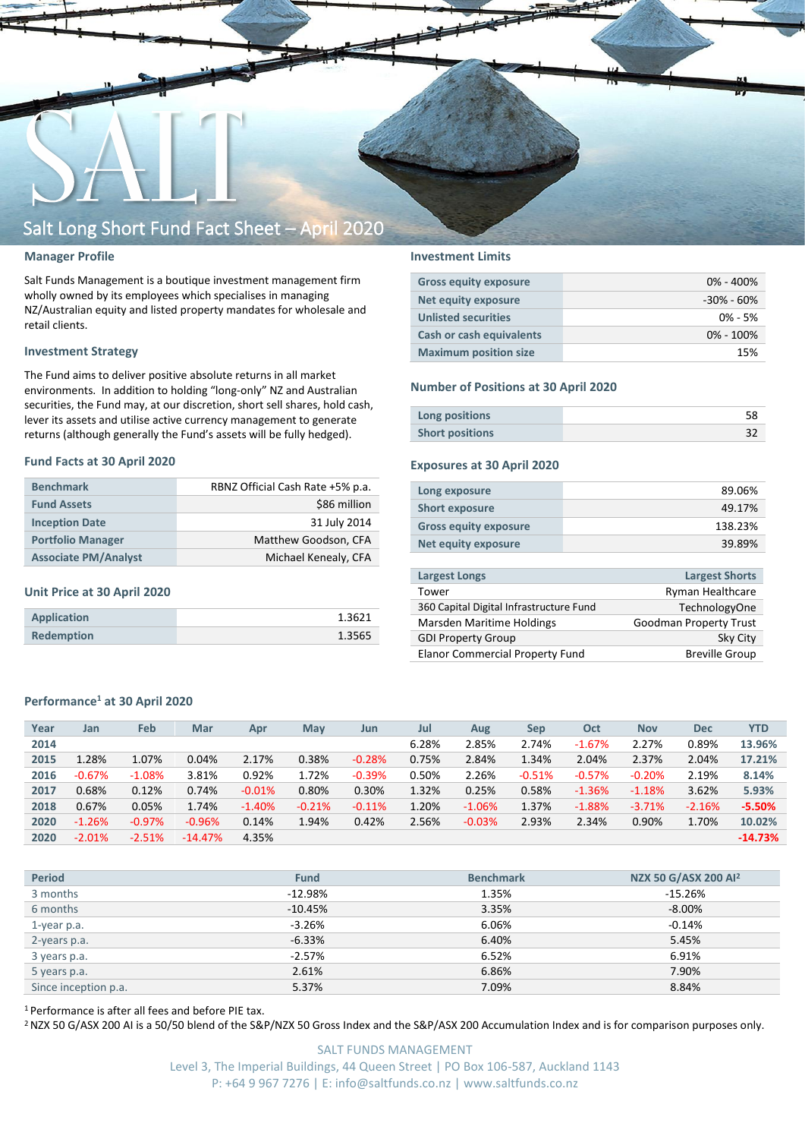

#### **Manager Profile**

Salt Funds Management is a boutique investment management firm wholly owned by its employees which specialises in managing NZ/Australian equity and listed property mandates for wholesale and retail clients.

#### **Investment Strategy**

The Fund aims to deliver positive absolute returns in all market environments. In addition to holding "long-only" NZ and Australian securities, the Fund may, at our discretion, short sell shares, hold cash, lever its assets and utilise active currency management to generate returns (although generally the Fund's assets will be fully hedged).

#### **Fund Facts at 30 April 2020**

| <b>Benchmark</b>            | RBNZ Official Cash Rate +5% p.a. |
|-----------------------------|----------------------------------|
| <b>Fund Assets</b>          | \$86 million                     |
| <b>Inception Date</b>       | 31 July 2014                     |
| <b>Portfolio Manager</b>    | Matthew Goodson, CFA             |
| <b>Associate PM/Analyst</b> | Michael Kenealy, CFA             |

#### **Unit Price at 30 April 2020**

| Application       | 1.3621 |
|-------------------|--------|
| <b>Redemption</b> | 1.3565 |

#### **Investment Limits**

| <b>Gross equity exposure</b> | $0\% - 400\%$  |
|------------------------------|----------------|
| Net equity exposure          | $-30\% - 60\%$ |
| <b>Unlisted securities</b>   | $0\% - 5\%$    |
| Cash or cash equivalents     | $0\% - 100\%$  |
| <b>Maximum position size</b> | 15%            |

#### **Number of Positions at 30 April 2020**

| Long positions         |  |
|------------------------|--|
| <b>Short positions</b> |  |

#### **Exposures at 30 April 2020**

| Long exposure                | 89.06%  |
|------------------------------|---------|
| <b>Short exposure</b>        | 49.17%  |
| <b>Gross equity exposure</b> | 138.23% |
| Net equity exposure          | 39.89%  |
|                              |         |

| <b>Largest Longs</b>                    | <b>Largest Shorts</b>  |
|-----------------------------------------|------------------------|
| Tower                                   | Ryman Healthcare       |
| 360 Capital Digital Infrastructure Fund | <b>TechnologyOne</b>   |
| Marsden Maritime Holdings               | Goodman Property Trust |
| <b>GDI Property Group</b>               | Sky City               |
| <b>Elanor Commercial Property Fund</b>  | <b>Breville Group</b>  |

#### **Performance<sup>1</sup> at 30 April 2020**

| Year | Jan      | Feb      | Mar       | Apr      | May      | Jun      | Jul   | Aug      | <b>Sep</b> | Oct      | <b>Nov</b> | <b>Dec</b> | <b>YTD</b> |
|------|----------|----------|-----------|----------|----------|----------|-------|----------|------------|----------|------------|------------|------------|
| 2014 |          |          |           |          |          |          | 6.28% | 2.85%    | 2.74%      | $-1.67%$ | 2.27%      | 0.89%      | 13.96%     |
| 2015 | 1.28%    | 1.07%    | 0.04%     | 2.17%    | 0.38%    | $-0.28%$ | 0.75% | 2.84%    | 1.34%      | 2.04%    | 2.37%      | 2.04%      | 17.21%     |
| 2016 | $-0.67%$ | $-1.08%$ | 3.81%     | 0.92%    | 1.72%    | $-0.39%$ | 0.50% | 2.26%    | $-0.51%$   | $-0.57%$ | $-0.20%$   | 2.19%      | 8.14%      |
| 2017 | 0.68%    | 0.12%    | 0.74%     | $-0.01%$ | 0.80%    | 0.30%    | 1.32% | 0.25%    | 0.58%      | $-1.36%$ | $-1.18%$   | 3.62%      | 5.93%      |
| 2018 | 0.67%    | 0.05%    | 1.74%     | $-1.40%$ | $-0.21%$ | $-0.11%$ | 1.20% | $-1.06%$ | 1.37%      | $-1.88%$ | $-3.71%$   | $-2.16%$   | $-5.50%$   |
| 2020 | $-1.26%$ | $-0.97%$ | $-0.96%$  | 0.14%    | 1.94%    | 0.42%    | 2.56% | $-0.03%$ | 2.93%      | 2.34%    | 0.90%      | 1.70%      | 10.02%     |
| 2020 | $-2.01%$ | $-2.51%$ | $-14.47%$ | 4.35%    |          |          |       |          |            |          |            |            | $-14.73%$  |

| <b>Period</b>        | <b>Fund</b> | <b>Benchmark</b> | NZX 50 G/ASX 200 Al <sup>2</sup> |
|----------------------|-------------|------------------|----------------------------------|
| 3 months             | $-12.98%$   | 1.35%            | -15.26%                          |
| 6 months             | $-10.45%$   | 3.35%            | $-8.00\%$                        |
| 1-year p.a.          | $-3.26%$    | 6.06%            | $-0.14%$                         |
| 2-years p.a.         | $-6.33%$    | 6.40%            | 5.45%                            |
| 3 years p.a.         | $-2.57%$    | 6.52%            | 6.91%                            |
| 5 years p.a.         | 2.61%       | 6.86%            | 7.90%                            |
| Since inception p.a. | 5.37%       | 7.09%            | 8.84%                            |
|                      |             |                  |                                  |

<sup>1</sup> Performance is after all fees and before PIE tax.

<sup>2</sup> NZX 50 G/ASX 200 AI is a 50/50 blend of the S&P/NZX 50 Gross Index and the S&P/ASX 200 Accumulation Index and is for comparison purposes only.

SALT FUNDS MANAGEMENT Level 3, The Imperial Buildings, 44 Queen Street | PO Box 106-587, Auckland 1143 P: +64 9 967 7276 | E: info@saltfunds.co.nz | www.saltfunds.co.nz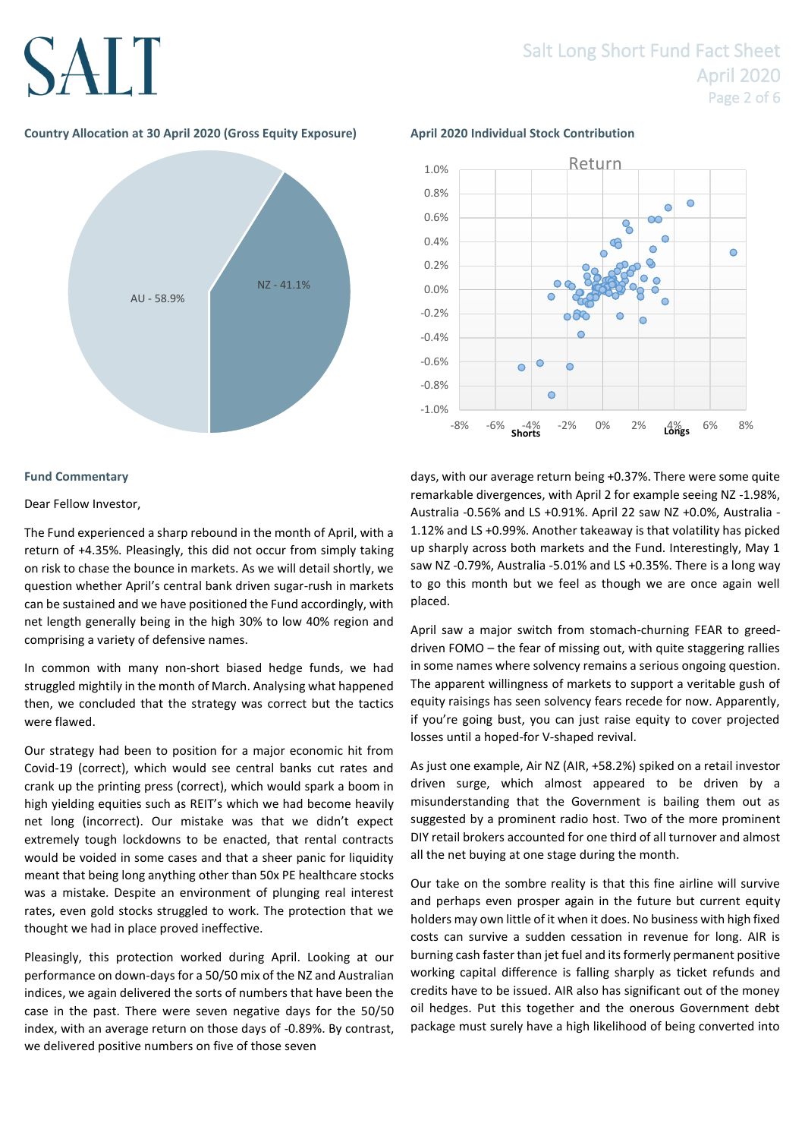### Salt Long Short Fund Fact Sheet April 2020 Page 2 of 6

#### **Country Allocation at 30 April 2020 (Gross Equity Exposure) April 2020 Individual Stock Contribution**



#### **Fund Commentary**

#### Dear Fellow Investor,

The Fund experienced a sharp rebound in the month of April, with a return of +4.35%. Pleasingly, this did not occur from simply taking on risk to chase the bounce in markets. As we will detail shortly, we question whether April's central bank driven sugar-rush in markets can be sustained and we have positioned the Fund accordingly, with net length generally being in the high 30% to low 40% region and comprising a variety of defensive names.

In common with many non-short biased hedge funds, we had struggled mightily in the month of March. Analysing what happened then, we concluded that the strategy was correct but the tactics were flawed.

Our strategy had been to position for a major economic hit from Covid-19 (correct), which would see central banks cut rates and crank up the printing press (correct), which would spark a boom in high yielding equities such as REIT's which we had become heavily net long (incorrect). Our mistake was that we didn't expect extremely tough lockdowns to be enacted, that rental contracts would be voided in some cases and that a sheer panic for liquidity meant that being long anything other than 50x PE healthcare stocks was a mistake. Despite an environment of plunging real interest rates, even gold stocks struggled to work. The protection that we thought we had in place proved ineffective.

Pleasingly, this protection worked during April. Looking at our performance on down-days for a 50/50 mix of the NZ and Australian indices, we again delivered the sorts of numbers that have been the case in the past. There were seven negative days for the 50/50 index, with an average return on those days of -0.89%. By contrast, we delivered positive numbers on five of those seven



days, with our average return being +0.37%. There were some quite remarkable divergences, with April 2 for example seeing NZ -1.98%, Australia -0.56% and LS +0.91%. April 22 saw NZ +0.0%, Australia - 1.12% and LS +0.99%. Another takeaway is that volatility has picked up sharply across both markets and the Fund. Interestingly, May 1 saw NZ -0.79%, Australia -5.01% and LS +0.35%. There is a long way to go this month but we feel as though we are once again well placed.

April saw a major switch from stomach-churning FEAR to greeddriven FOMO – the fear of missing out, with quite staggering rallies in some names where solvency remains a serious ongoing question. The apparent willingness of markets to support a veritable gush of equity raisings has seen solvency fears recede for now. Apparently, if you're going bust, you can just raise equity to cover projected losses until a hoped-for V-shaped revival.

As just one example, Air NZ (AIR, +58.2%) spiked on a retail investor driven surge, which almost appeared to be driven by a misunderstanding that the Government is bailing them out as suggested by a prominent radio host. Two of the more prominent DIY retail brokers accounted for one third of all turnover and almost all the net buying at one stage during the month.

Our take on the sombre reality is that this fine airline will survive and perhaps even prosper again in the future but current equity holders may own little of it when it does. No business with high fixed costs can survive a sudden cessation in revenue for long. AIR is burning cash faster than jet fuel and its formerly permanent positive working capital difference is falling sharply as ticket refunds and credits have to be issued. AIR also has significant out of the money oil hedges. Put this together and the onerous Government debt package must surely have a high likelihood of being converted into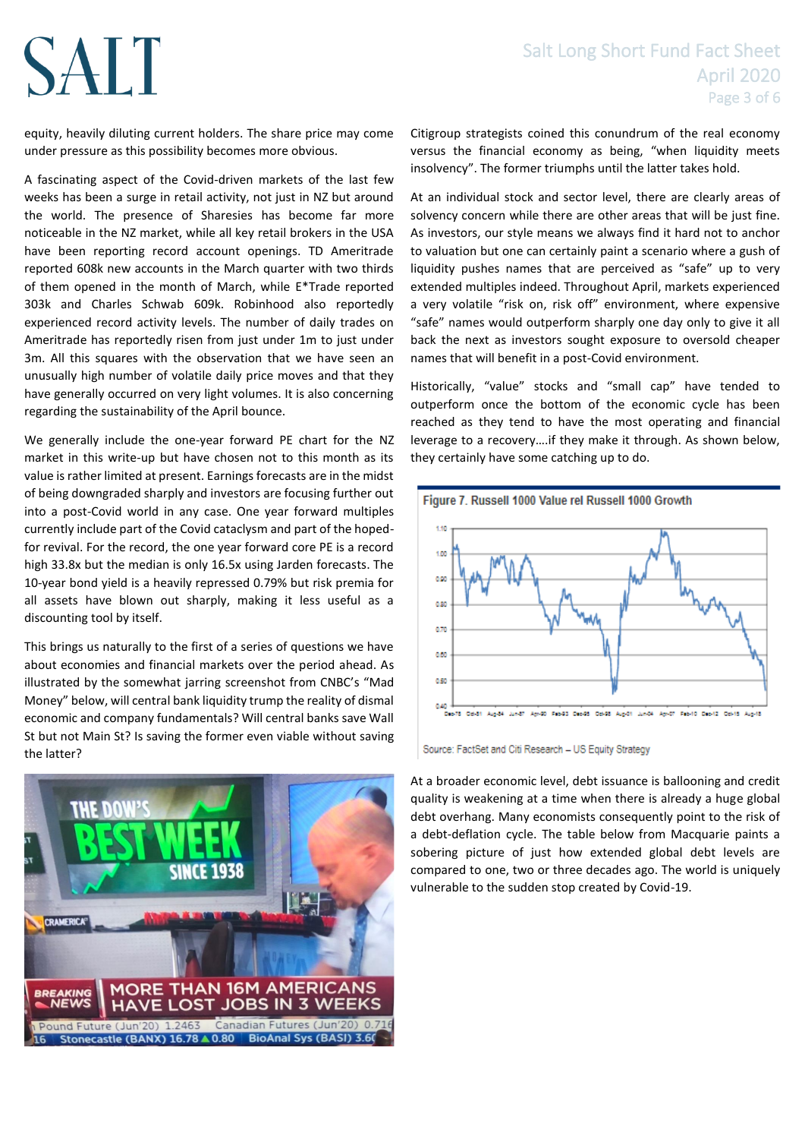#### Salt Long Short Fund Fact Sheet April 2020 Page 3 of 6

equity, heavily diluting current holders. The share price may come under pressure as this possibility becomes more obvious.

SALT

A fascinating aspect of the Covid-driven markets of the last few weeks has been a surge in retail activity, not just in NZ but around the world. The presence of Sharesies has become far more noticeable in the NZ market, while all key retail brokers in the USA have been reporting record account openings. TD Ameritrade reported 608k new accounts in the March quarter with two thirds of them opened in the month of March, while E\*Trade reported 303k and Charles Schwab 609k. Robinhood also reportedly experienced record activity levels. The number of daily trades on Ameritrade has reportedly risen from just under 1m to just under 3m. All this squares with the observation that we have seen an unusually high number of volatile daily price moves and that they have generally occurred on very light volumes. It is also concerning regarding the sustainability of the April bounce.

We generally include the one-year forward PE chart for the NZ market in this write-up but have chosen not to this month as its value is rather limited at present. Earnings forecasts are in the midst of being downgraded sharply and investors are focusing further out into a post-Covid world in any case. One year forward multiples currently include part of the Covid cataclysm and part of the hopedfor revival. For the record, the one year forward core PE is a record high 33.8x but the median is only 16.5x using Jarden forecasts. The 10-year bond yield is a heavily repressed 0.79% but risk premia for all assets have blown out sharply, making it less useful as a discounting tool by itself.

This brings us naturally to the first of a series of questions we have about economies and financial markets over the period ahead. As illustrated by the somewhat jarring screenshot from CNBC's "Mad Money" below, will central bank liquidity trump the reality of dismal economic and company fundamentals? Will central banks save Wall St but not Main St? Is saving the former even viable without saving the latter?



Citigroup strategists coined this conundrum of the real economy versus the financial economy as being, "when liquidity meets insolvency". The former triumphs until the latter takes hold.

At an individual stock and sector level, there are clearly areas of solvency concern while there are other areas that will be just fine. As investors, our style means we always find it hard not to anchor to valuation but one can certainly paint a scenario where a gush of liquidity pushes names that are perceived as "safe" up to very extended multiples indeed. Throughout April, markets experienced a very volatile "risk on, risk off" environment, where expensive "safe" names would outperform sharply one day only to give it all back the next as investors sought exposure to oversold cheaper names that will benefit in a post-Covid environment.

Historically, "value" stocks and "small cap" have tended to outperform once the bottom of the economic cycle has been reached as they tend to have the most operating and financial leverage to a recovery….if they make it through. As shown below, they certainly have some catching up to do.



Source: FactSet and Citi Research - US Equity Strategy

At a broader economic level, debt issuance is ballooning and credit quality is weakening at a time when there is already a huge global debt overhang. Many economists consequently point to the risk of a debt-deflation cycle. The table below from Macquarie paints a sobering picture of just how extended global debt levels are compared to one, two or three decades ago. The world is uniquely vulnerable to the sudden stop created by Covid-19.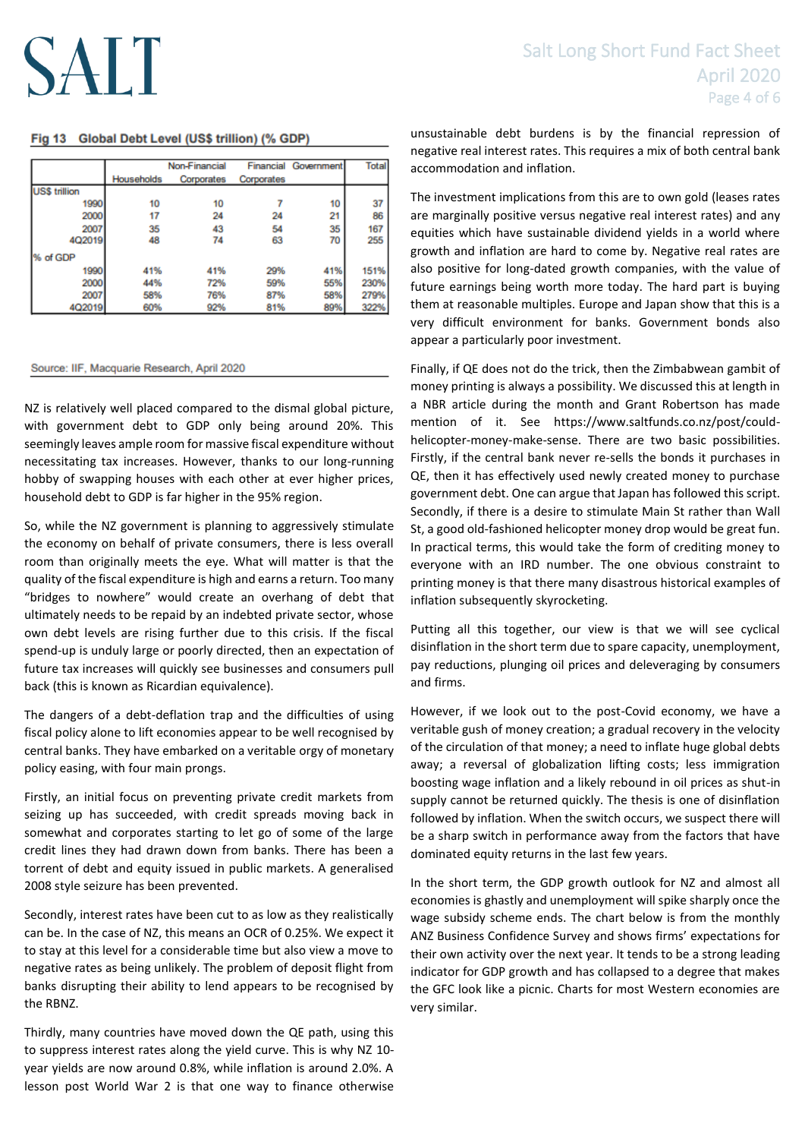#### Fig 13 Global Debt Level (US\$ trillion) (% GDP)

|                      |            | Non-Financial |            | <b>Financial Government</b> | Total |
|----------------------|------------|---------------|------------|-----------------------------|-------|
|                      | Households | Corporates    | Corporates |                             |       |
| <b>US\$ trillion</b> |            |               |            |                             |       |
| 1990                 | 10         | 10            |            | 10                          | 37    |
| 2000                 | 17         | 24            | 24         | 21                          | 86    |
| 2007                 | 35         | 43            | 54         | 35                          | 167   |
| 4Q2019               | 48         | 74            | 63         | 70                          | 255   |
| % of GDP             |            |               |            |                             |       |
| 1990                 | 41%        | 41%           | 29%        | 41%                         | 151%  |
| 2000                 | 44%        | 72%           | 59%        | 55%                         | 230%  |
| 2007                 | 58%        | 76%           | 87%        | 58%                         | 279%  |
| 4Q2019               | 60%        | 92%           | 81%        | 89%                         | 322%  |

#### Source: IIF, Macquarie Research, April 2020

NZ is relatively well placed compared to the dismal global picture, with government debt to GDP only being around 20%. This seemingly leaves ample room for massive fiscal expenditure without necessitating tax increases. However, thanks to our long-running hobby of swapping houses with each other at ever higher prices, household debt to GDP is far higher in the 95% region.

So, while the NZ government is planning to aggressively stimulate the economy on behalf of private consumers, there is less overall room than originally meets the eye. What will matter is that the quality of the fiscal expenditure is high and earns a return. Too many "bridges to nowhere" would create an overhang of debt that ultimately needs to be repaid by an indebted private sector, whose own debt levels are rising further due to this crisis. If the fiscal spend-up is unduly large or poorly directed, then an expectation of future tax increases will quickly see businesses and consumers pull back (this is known as Ricardian equivalence).

The dangers of a debt-deflation trap and the difficulties of using fiscal policy alone to lift economies appear to be well recognised by central banks. They have embarked on a veritable orgy of monetary policy easing, with four main prongs.

Firstly, an initial focus on preventing private credit markets from seizing up has succeeded, with credit spreads moving back in somewhat and corporates starting to let go of some of the large credit lines they had drawn down from banks. There has been a torrent of debt and equity issued in public markets. A generalised 2008 style seizure has been prevented.

Secondly, interest rates have been cut to as low as they realistically can be. In the case of NZ, this means an OCR of 0.25%. We expect it to stay at this level for a considerable time but also view a move to negative rates as being unlikely. The problem of deposit flight from banks disrupting their ability to lend appears to be recognised by the RBNZ.

Thirdly, many countries have moved down the QE path, using this to suppress interest rates along the yield curve. This is why NZ 10 year yields are now around 0.8%, while inflation is around 2.0%. A lesson post World War 2 is that one way to finance otherwise

unsustainable debt burdens is by the financial repression of negative real interest rates. This requires a mix of both central bank accommodation and inflation.

The investment implications from this are to own gold (leases rates are marginally positive versus negative real interest rates) and any equities which have sustainable dividend yields in a world where growth and inflation are hard to come by. Negative real rates are also positive for long-dated growth companies, with the value of future earnings being worth more today. The hard part is buying them at reasonable multiples. Europe and Japan show that this is a very difficult environment for banks. Government bonds also appear a particularly poor investment.

Finally, if QE does not do the trick, then the Zimbabwean gambit of money printing is always a possibility. We discussed this at length in a NBR article during the month and Grant Robertson has made mention of it. See https://www.saltfunds.co.nz/post/couldhelicopter-money-make-sense. There are two basic possibilities. Firstly, if the central bank never re-sells the bonds it purchases in QE, then it has effectively used newly created money to purchase government debt. One can argue that Japan has followed this script. Secondly, if there is a desire to stimulate Main St rather than Wall St, a good old-fashioned helicopter money drop would be great fun. In practical terms, this would take the form of crediting money to everyone with an IRD number. The one obvious constraint to printing money is that there many disastrous historical examples of inflation subsequently skyrocketing.

Putting all this together, our view is that we will see cyclical disinflation in the short term due to spare capacity, unemployment, pay reductions, plunging oil prices and deleveraging by consumers and firms.

However, if we look out to the post-Covid economy, we have a veritable gush of money creation; a gradual recovery in the velocity of the circulation of that money; a need to inflate huge global debts away; a reversal of globalization lifting costs; less immigration boosting wage inflation and a likely rebound in oil prices as shut-in supply cannot be returned quickly. The thesis is one of disinflation followed by inflation. When the switch occurs, we suspect there will be a sharp switch in performance away from the factors that have dominated equity returns in the last few years.

In the short term, the GDP growth outlook for NZ and almost all economies is ghastly and unemployment will spike sharply once the wage subsidy scheme ends. The chart below is from the monthly ANZ Business Confidence Survey and shows firms' expectations for their own activity over the next year. It tends to be a strong leading indicator for GDP growth and has collapsed to a degree that makes the GFC look like a picnic. Charts for most Western economies are very similar.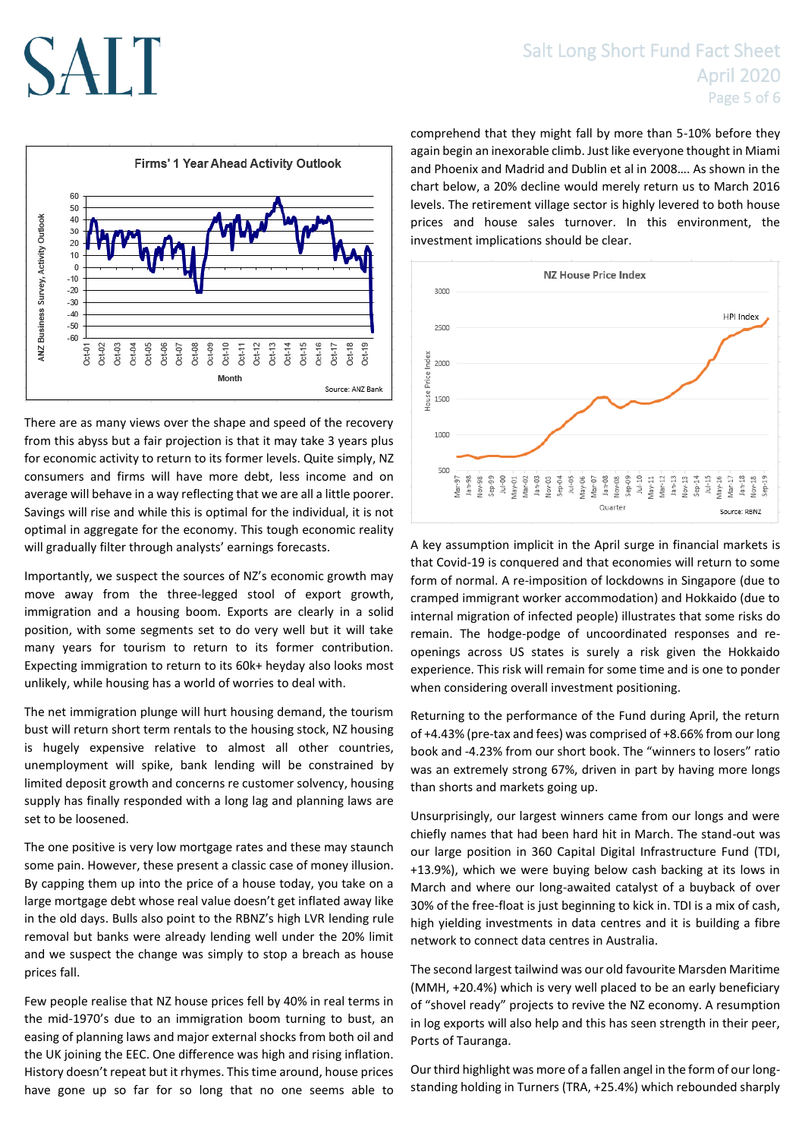# Firms' 1 Year Ahead Activity Outlook



There are as many views over the shape and speed of the recovery from this abyss but a fair projection is that it may take 3 years plus for economic activity to return to its former levels. Quite simply, NZ consumers and firms will have more debt, less income and on average will behave in a way reflecting that we are all a little poorer. Savings will rise and while this is optimal for the individual, it is not optimal in aggregate for the economy. This tough economic reality will gradually filter through analysts' earnings forecasts.

Importantly, we suspect the sources of NZ's economic growth may move away from the three-legged stool of export growth, immigration and a housing boom. Exports are clearly in a solid position, with some segments set to do very well but it will take many years for tourism to return to its former contribution. Expecting immigration to return to its 60k+ heyday also looks most unlikely, while housing has a world of worries to deal with.

The net immigration plunge will hurt housing demand, the tourism bust will return short term rentals to the housing stock, NZ housing is hugely expensive relative to almost all other countries, unemployment will spike, bank lending will be constrained by limited deposit growth and concerns re customer solvency, housing supply has finally responded with a long lag and planning laws are set to be loosened.

The one positive is very low mortgage rates and these may staunch some pain. However, these present a classic case of money illusion. By capping them up into the price of a house today, you take on a large mortgage debt whose real value doesn't get inflated away like in the old days. Bulls also point to the RBNZ's high LVR lending rule removal but banks were already lending well under the 20% limit and we suspect the change was simply to stop a breach as house prices fall.

Few people realise that NZ house prices fell by 40% in real terms in the mid-1970's due to an immigration boom turning to bust, an easing of planning laws and major external shocks from both oil and the UK joining the EEC. One difference was high and rising inflation. History doesn't repeat but it rhymes. This time around, house prices have gone up so far for so long that no one seems able to

comprehend that they might fall by more than 5-10% before they again begin an inexorable climb. Just like everyone thought in Miami and Phoenix and Madrid and Dublin et al in 2008…. As shown in the chart below, a 20% decline would merely return us to March 2016 levels. The retirement village sector is highly levered to both house prices and house sales turnover. In this environment, the investment implications should be clear.



A key assumption implicit in the April surge in financial markets is that Covid-19 is conquered and that economies will return to some form of normal. A re-imposition of lockdowns in Singapore (due to cramped immigrant worker accommodation) and Hokkaido (due to internal migration of infected people) illustrates that some risks do remain. The hodge-podge of uncoordinated responses and reopenings across US states is surely a risk given the Hokkaido experience. This risk will remain for some time and is one to ponder when considering overall investment positioning.

Returning to the performance of the Fund during April, the return of +4.43% (pre-tax and fees) was comprised of +8.66% from our long book and -4.23% from our short book. The "winners to losers" ratio was an extremely strong 67%, driven in part by having more longs than shorts and markets going up.

Unsurprisingly, our largest winners came from our longs and were chiefly names that had been hard hit in March. The stand-out was our large position in 360 Capital Digital Infrastructure Fund (TDI, +13.9%), which we were buying below cash backing at its lows in March and where our long-awaited catalyst of a buyback of over 30% of the free-float is just beginning to kick in. TDI is a mix of cash, high yielding investments in data centres and it is building a fibre network to connect data centres in Australia.

The second largest tailwind was our old favourite Marsden Maritime (MMH, +20.4%) which is very well placed to be an early beneficiary of "shovel ready" projects to revive the NZ economy. A resumption in log exports will also help and this has seen strength in their peer, Ports of Tauranga.

Our third highlight was more of a fallen angel in the form of our longstanding holding in Turners (TRA, +25.4%) which rebounded sharply

### Salt Long Short Fund Fact Sheet April 2020 Page 5 of 6